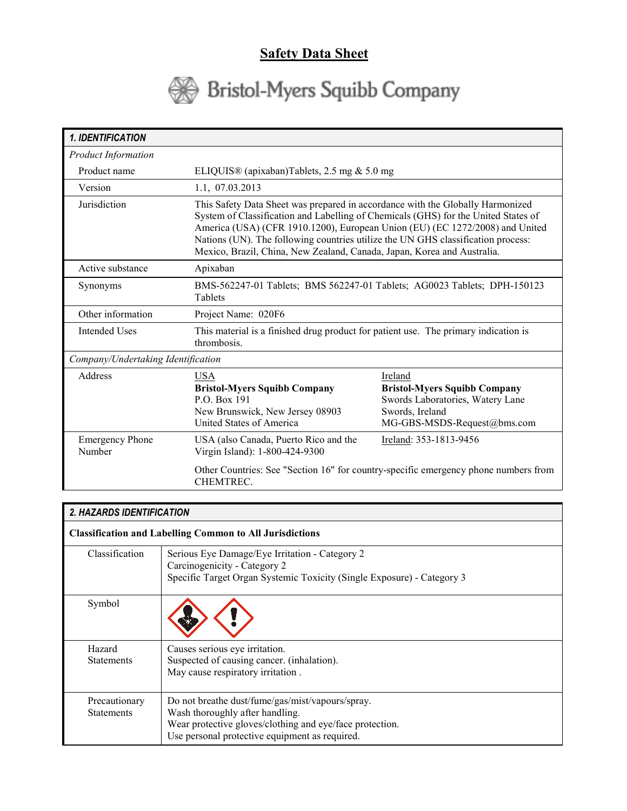# **Safety Data Sheet**



| <b>1. IDENTIFICATION</b>           |                                                                                                                                                                                                                                                                                                                                                                                                                     |                                                                                                                                      |  |  |
|------------------------------------|---------------------------------------------------------------------------------------------------------------------------------------------------------------------------------------------------------------------------------------------------------------------------------------------------------------------------------------------------------------------------------------------------------------------|--------------------------------------------------------------------------------------------------------------------------------------|--|--|
| <b>Product Information</b>         |                                                                                                                                                                                                                                                                                                                                                                                                                     |                                                                                                                                      |  |  |
| Product name                       | ELIQUIS® (apixaban)Tablets, 2.5 mg & 5.0 mg                                                                                                                                                                                                                                                                                                                                                                         |                                                                                                                                      |  |  |
| Version                            | 1.1, 07.03.2013                                                                                                                                                                                                                                                                                                                                                                                                     |                                                                                                                                      |  |  |
| Jurisdiction                       | This Safety Data Sheet was prepared in accordance with the Globally Harmonized<br>System of Classification and Labelling of Chemicals (GHS) for the United States of<br>America (USA) (CFR 1910.1200), European Union (EU) (EC 1272/2008) and United<br>Nations (UN). The following countries utilize the UN GHS classification process:<br>Mexico, Brazil, China, New Zealand, Canada, Japan, Korea and Australia. |                                                                                                                                      |  |  |
| Active substance                   | Apixaban                                                                                                                                                                                                                                                                                                                                                                                                            |                                                                                                                                      |  |  |
| Synonyms                           | BMS-562247-01 Tablets; BMS 562247-01 Tablets; AG0023 Tablets; DPH-150123<br>Tablets                                                                                                                                                                                                                                                                                                                                 |                                                                                                                                      |  |  |
| Other information                  | Project Name: 020F6                                                                                                                                                                                                                                                                                                                                                                                                 |                                                                                                                                      |  |  |
| Intended Uses                      | This material is a finished drug product for patient use. The primary indication is<br>thrombosis.                                                                                                                                                                                                                                                                                                                  |                                                                                                                                      |  |  |
| Company/Undertaking Identification |                                                                                                                                                                                                                                                                                                                                                                                                                     |                                                                                                                                      |  |  |
| Address                            | <b>USA</b><br><b>Bristol-Myers Squibb Company</b><br>P.O. Box 191<br>New Brunswick, New Jersey 08903<br>United States of America                                                                                                                                                                                                                                                                                    | Ireland<br><b>Bristol-Myers Squibb Company</b><br>Swords Laboratories, Watery Lane<br>Swords, Ireland<br>MG-GBS-MSDS-Request@bms.com |  |  |
| <b>Emergency Phone</b><br>Number   | USA (also Canada, Puerto Rico and the<br>Virgin Island): 1-800-424-9300                                                                                                                                                                                                                                                                                                                                             | Ireland: 353-1813-9456                                                                                                               |  |  |
|                                    | <b>CHEMTREC.</b>                                                                                                                                                                                                                                                                                                                                                                                                    | Other Countries: See "Section 16" for country-specific emergency phone numbers from                                                  |  |  |

|                                    | <b>2. HAZARDS IDENTIFICATION</b>                                                                                                                                                                  |  |  |  |
|------------------------------------|---------------------------------------------------------------------------------------------------------------------------------------------------------------------------------------------------|--|--|--|
|                                    | <b>Classification and Labelling Common to All Jurisdictions</b>                                                                                                                                   |  |  |  |
| <b>Classification</b>              | Serious Eye Damage/Eye Irritation - Category 2<br>Carcinogenicity - Category 2<br>Specific Target Organ Systemic Toxicity (Single Exposure) - Category 3                                          |  |  |  |
| Symbol                             |                                                                                                                                                                                                   |  |  |  |
| Hazard<br><b>Statements</b>        | Causes serious eye irritation.<br>Suspected of causing cancer. (inhalation).<br>May cause respiratory irritation.                                                                                 |  |  |  |
| Precautionary<br><b>Statements</b> | Do not breathe dust/fume/gas/mist/vapours/spray.<br>Wash thoroughly after handling.<br>Wear protective gloves/clothing and eye/face protection.<br>Use personal protective equipment as required. |  |  |  |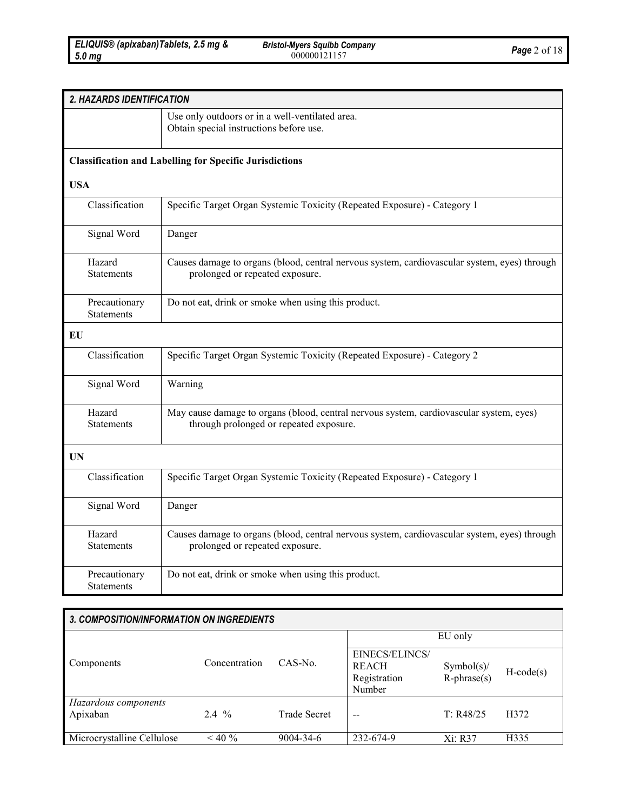*Bristol-Myers Squibb Company* <sup>000000121157</sup> *Page* <sup>2</sup> of <sup>18</sup>

| 2. HAZARDS IDENTIFICATION          |                                                                                                                                    |
|------------------------------------|------------------------------------------------------------------------------------------------------------------------------------|
|                                    | Use only outdoors or in a well-ventilated area.<br>Obtain special instructions before use.                                         |
|                                    | <b>Classification and Labelling for Specific Jurisdictions</b>                                                                     |
| <b>USA</b>                         |                                                                                                                                    |
| Classification                     | Specific Target Organ Systemic Toxicity (Repeated Exposure) - Category 1                                                           |
| Signal Word                        | Danger                                                                                                                             |
| Hazard<br><b>Statements</b>        | Causes damage to organs (blood, central nervous system, cardiovascular system, eyes) through<br>prolonged or repeated exposure.    |
| Precautionary<br><b>Statements</b> | Do not eat, drink or smoke when using this product.                                                                                |
| EU                                 |                                                                                                                                    |
| Classification                     | Specific Target Organ Systemic Toxicity (Repeated Exposure) - Category 2                                                           |
| Signal Word                        | Warning                                                                                                                            |
| Hazard<br><b>Statements</b>        | May cause damage to organs (blood, central nervous system, cardiovascular system, eyes)<br>through prolonged or repeated exposure. |
| UN                                 |                                                                                                                                    |
| Classification                     | Specific Target Organ Systemic Toxicity (Repeated Exposure) - Category 1                                                           |
| Signal Word                        | Danger                                                                                                                             |
| Hazard<br><b>Statements</b>        | Causes damage to organs (blood, central nervous system, cardiovascular system, eyes) through<br>prolonged or repeated exposure.    |
| Precautionary<br><b>Statements</b> | Do not eat, drink or smoke when using this product.                                                                                |

## *3. COMPOSITION/INFORMATION ON INGREDIENTS*

|                                  |               |                     | EU only                                                  |                                    |                    |
|----------------------------------|---------------|---------------------|----------------------------------------------------------|------------------------------------|--------------------|
| Components                       | Concentration | $CAS-N0$ .          | EINECS/ELINCS/<br><b>REACH</b><br>Registration<br>Number | $Symbol(s)$ /<br>$R$ -phrase $(s)$ | $H\text{-code}(s)$ |
| Hazardous components<br>Apixaban | $2.4\%$       | <b>Trade Secret</b> | --                                                       | T: R48/25                          | H372               |
| Microcrystalline Cellulose       | $< 40 \%$     | 9004-34-6           | 232-674-9                                                | Xi: R37                            | H335               |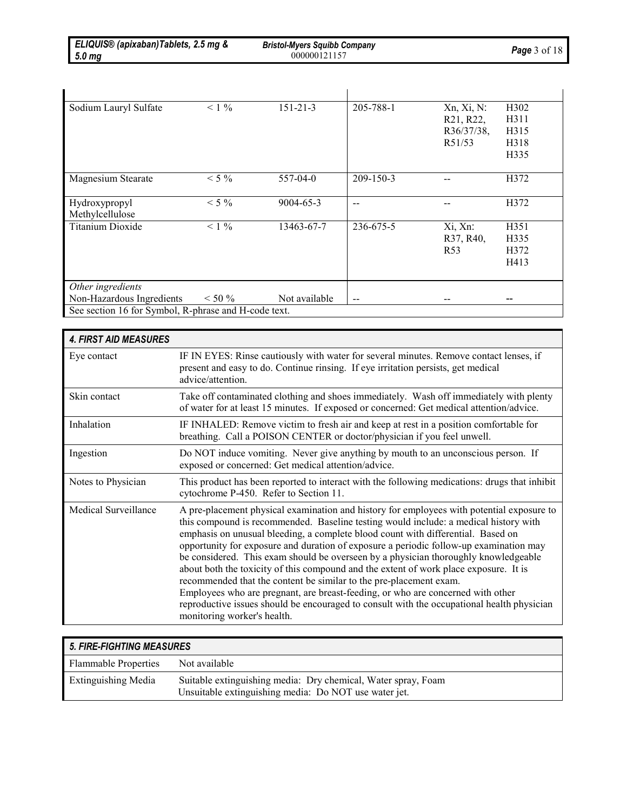| Sodium Lauryl Sulfate                                | $< 1\%$   | $151 - 21 - 3$  | 205-788-1                | Xn, Xi, N:<br>R <sub>21</sub> , R <sub>22</sub> ,<br>R36/37/38,<br>R51/53 | H <sub>3</sub> 02<br>H311<br>H315<br>H318<br>H335 |
|------------------------------------------------------|-----------|-----------------|--------------------------|---------------------------------------------------------------------------|---------------------------------------------------|
| Magnesium Stearate                                   | $< 5\%$   | 557-04-0        | 209-150-3                |                                                                           | H372                                              |
| Hydroxypropyl<br>Methylcellulose                     | $< 5\%$   | $9004 - 65 - 3$ | $\overline{\phantom{a}}$ |                                                                           | H372                                              |
| <b>Titanium Dioxide</b>                              | $< 1\%$   | 13463-67-7      | 236-675-5                | Xi, Xn:<br>R37, R40,<br>R <sub>53</sub>                                   | H351<br>H335<br>H372<br>H413                      |
| Other ingredients                                    |           |                 |                          |                                                                           |                                                   |
| Non-Hazardous Ingredients                            | $< 50 \%$ | Not available   | $-$                      |                                                                           |                                                   |
| See section 16 for Symbol, R-phrase and H-code text. |           |                 |                          |                                                                           |                                                   |

| <b>4. FIRST AID MEASURES</b> |                                                                                                                                                                                                                                                                                                                                                                                                                                                                                                                                                                                                                                                                                                                                                                                                                                       |
|------------------------------|---------------------------------------------------------------------------------------------------------------------------------------------------------------------------------------------------------------------------------------------------------------------------------------------------------------------------------------------------------------------------------------------------------------------------------------------------------------------------------------------------------------------------------------------------------------------------------------------------------------------------------------------------------------------------------------------------------------------------------------------------------------------------------------------------------------------------------------|
| Eye contact                  | IF IN EYES: Rinse cautiously with water for several minutes. Remove contact lenses, if<br>present and easy to do. Continue rinsing. If eye irritation persists, get medical<br>advice/attention.                                                                                                                                                                                                                                                                                                                                                                                                                                                                                                                                                                                                                                      |
| Skin contact                 | Take off contaminated clothing and shoes immediately. Wash off immediately with plenty<br>of water for at least 15 minutes. If exposed or concerned: Get medical attention/advice.                                                                                                                                                                                                                                                                                                                                                                                                                                                                                                                                                                                                                                                    |
| Inhalation                   | IF INHALED: Remove victim to fresh air and keep at rest in a position comfortable for<br>breathing. Call a POISON CENTER or doctor/physician if you feel unwell.                                                                                                                                                                                                                                                                                                                                                                                                                                                                                                                                                                                                                                                                      |
| Ingestion                    | Do NOT induce vomiting. Never give anything by mouth to an unconscious person. If<br>exposed or concerned: Get medical attention/advice.                                                                                                                                                                                                                                                                                                                                                                                                                                                                                                                                                                                                                                                                                              |
| Notes to Physician           | This product has been reported to interact with the following medications: drugs that inhibit<br>cytochrome P-450. Refer to Section 11.                                                                                                                                                                                                                                                                                                                                                                                                                                                                                                                                                                                                                                                                                               |
| Medical Surveillance         | A pre-placement physical examination and history for employees with potential exposure to<br>this compound is recommended. Baseline testing would include: a medical history with<br>emphasis on unusual bleeding, a complete blood count with differential. Based on<br>opportunity for exposure and duration of exposure a periodic follow-up examination may<br>be considered. This exam should be overseen by a physician thoroughly knowledgeable<br>about both the toxicity of this compound and the extent of work place exposure. It is<br>recommended that the content be similar to the pre-placement exam.<br>Employees who are pregnant, are breast-feeding, or who are concerned with other<br>reproductive issues should be encouraged to consult with the occupational health physician<br>monitoring worker's health. |

| <b>5. FIRE-FIGHTING MEASURES</b> |                                                                                                                        |  |  |
|----------------------------------|------------------------------------------------------------------------------------------------------------------------|--|--|
| <b>Flammable Properties</b>      | Not available                                                                                                          |  |  |
| <b>Extinguishing Media</b>       | Suitable extinguishing media: Dry chemical, Water spray, Foam<br>Unsuitable extinguishing media: Do NOT use water jet. |  |  |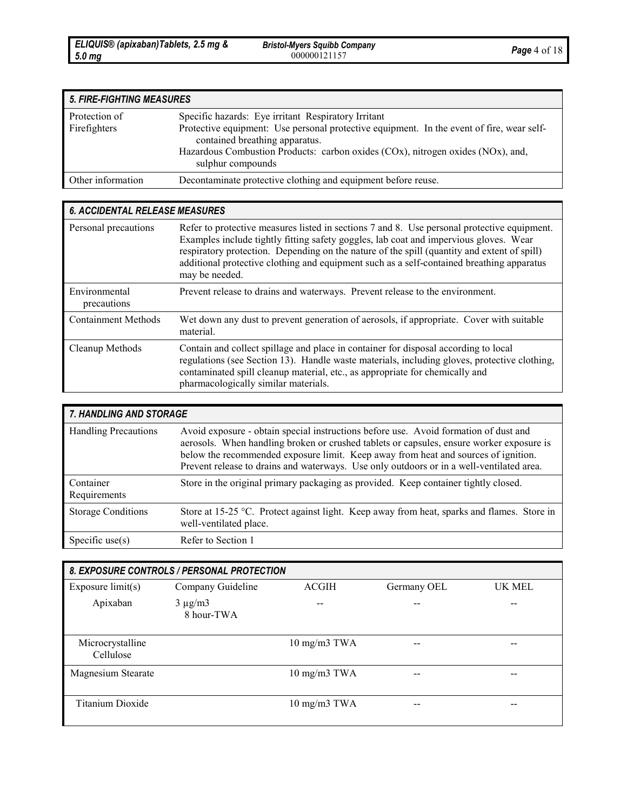| <b>5. FIRE-FIGHTING MEASURES</b> |                                                                                                                                                                                                                                                                                            |  |  |  |
|----------------------------------|--------------------------------------------------------------------------------------------------------------------------------------------------------------------------------------------------------------------------------------------------------------------------------------------|--|--|--|
| Protection of<br>Firefighters    | Specific hazards: Eye irritant Respiratory Irritant<br>Protective equipment: Use personal protective equipment. In the event of fire, wear self-<br>contained breathing apparatus.<br>Hazardous Combustion Products: carbon oxides (COx), nitrogen oxides (NOx), and,<br>sulphur compounds |  |  |  |
| Other information                | Decontaminate protective clothing and equipment before reuse.                                                                                                                                                                                                                              |  |  |  |

| <b>6. ACCIDENTAL RELEASE MEASURES</b> |                                                                                                                                                                                                                                                                                                                                                                                                    |  |  |
|---------------------------------------|----------------------------------------------------------------------------------------------------------------------------------------------------------------------------------------------------------------------------------------------------------------------------------------------------------------------------------------------------------------------------------------------------|--|--|
| Personal precautions                  | Refer to protective measures listed in sections 7 and 8. Use personal protective equipment.<br>Examples include tightly fitting safety goggles, lab coat and impervious gloves. Wear<br>respiratory protection. Depending on the nature of the spill (quantity and extent of spill)<br>additional protective clothing and equipment such as a self-contained breathing apparatus<br>may be needed. |  |  |
| Environmental<br>precautions          | Prevent release to drains and waterways. Prevent release to the environment.                                                                                                                                                                                                                                                                                                                       |  |  |
| <b>Containment Methods</b>            | Wet down any dust to prevent generation of aerosols, if appropriate. Cover with suitable<br>material.                                                                                                                                                                                                                                                                                              |  |  |
| Cleanup Methods                       | Contain and collect spillage and place in container for disposal according to local<br>regulations (see Section 13). Handle waste materials, including gloves, protective clothing,<br>contaminated spill cleanup material, etc., as appropriate for chemically and<br>pharmacologically similar materials.                                                                                        |  |  |

| 7. HANDLING AND STORAGE     |                                                                                                                                                                                                                                                                                                                                                                    |  |  |  |
|-----------------------------|--------------------------------------------------------------------------------------------------------------------------------------------------------------------------------------------------------------------------------------------------------------------------------------------------------------------------------------------------------------------|--|--|--|
| <b>Handling Precautions</b> | Avoid exposure - obtain special instructions before use. Avoid formation of dust and<br>aerosols. When handling broken or crushed tablets or capsules, ensure worker exposure is<br>below the recommended exposure limit. Keep away from heat and sources of ignition.<br>Prevent release to drains and waterways. Use only outdoors or in a well-ventilated area. |  |  |  |
| Container<br>Requirements   | Store in the original primary packaging as provided. Keep container tightly closed.                                                                                                                                                                                                                                                                                |  |  |  |
| <b>Storage Conditions</b>   | Store at 15-25 °C. Protect against light. Keep away from heat, sparks and flames. Store in<br>well-ventilated place.                                                                                                                                                                                                                                               |  |  |  |
| Specific use(s)             | Refer to Section 1                                                                                                                                                                                                                                                                                                                                                 |  |  |  |

| 8. EXPOSURE CONTROLS / PERSONAL PROTECTION |                            |                                   |             |        |  |  |
|--------------------------------------------|----------------------------|-----------------------------------|-------------|--------|--|--|
| Exposure $limit(s)$                        | Company Guideline          | <b>ACGIH</b>                      | Germany OEL | UK MEL |  |  |
| Apixaban                                   | $3 \mu g/m3$<br>8 hour-TWA | --                                |             |        |  |  |
| Microcrystalline<br>Cellulose              |                            | $10 \text{ mg/m}$ $3 \text{ TWA}$ |             | --     |  |  |
| Magnesium Stearate                         |                            | $10 \text{ mg/m}$ $3 \text{ TWA}$ |             | --     |  |  |
| Titanium Dioxide                           |                            | $10 \text{ mg/m}$ $3 \text{ TWA}$ |             |        |  |  |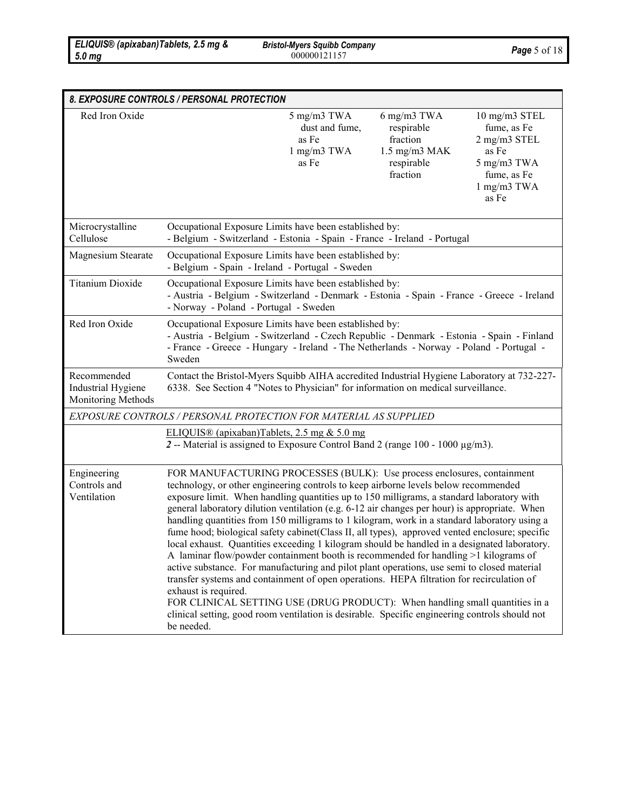| 8. EXPOSURE CONTROLS / PERSONAL PROTECTION                     |                                                                                                                                                                                                                                                                                                                                                                                                                                                                                                                                                                                                                                                                                                                                                                                                                                                                                                                                                                                                                                                                                                                                                                             |                                                                |                                                                                       |                                                                                                             |  |
|----------------------------------------------------------------|-----------------------------------------------------------------------------------------------------------------------------------------------------------------------------------------------------------------------------------------------------------------------------------------------------------------------------------------------------------------------------------------------------------------------------------------------------------------------------------------------------------------------------------------------------------------------------------------------------------------------------------------------------------------------------------------------------------------------------------------------------------------------------------------------------------------------------------------------------------------------------------------------------------------------------------------------------------------------------------------------------------------------------------------------------------------------------------------------------------------------------------------------------------------------------|----------------------------------------------------------------|---------------------------------------------------------------------------------------|-------------------------------------------------------------------------------------------------------------|--|
| Red Iron Oxide                                                 |                                                                                                                                                                                                                                                                                                                                                                                                                                                                                                                                                                                                                                                                                                                                                                                                                                                                                                                                                                                                                                                                                                                                                                             | 5 mg/m3 TWA<br>dust and fume,<br>as Fe<br>1 mg/m3 TWA<br>as Fe | 6 mg/m3 TWA<br>respirable<br>fraction<br>$1.5$ mg/m $3$ MAK<br>respirable<br>fraction | 10 mg/m3 STEL<br>fume, as Fe<br>2 mg/m3 STEL<br>as Fe<br>5 mg/m3 TWA<br>fume, as Fe<br>1 mg/m3 TWA<br>as Fe |  |
| Microcrystalline<br>Cellulose                                  | Occupational Exposure Limits have been established by:<br>- Belgium - Switzerland - Estonia - Spain - France - Ireland - Portugal                                                                                                                                                                                                                                                                                                                                                                                                                                                                                                                                                                                                                                                                                                                                                                                                                                                                                                                                                                                                                                           |                                                                |                                                                                       |                                                                                                             |  |
| Magnesium Stearate                                             | Occupational Exposure Limits have been established by:<br>- Belgium - Spain - Ireland - Portugal - Sweden                                                                                                                                                                                                                                                                                                                                                                                                                                                                                                                                                                                                                                                                                                                                                                                                                                                                                                                                                                                                                                                                   |                                                                |                                                                                       |                                                                                                             |  |
| <b>Titanium Dioxide</b>                                        | Occupational Exposure Limits have been established by:<br>- Austria - Belgium - Switzerland - Denmark - Estonia - Spain - France - Greece - Ireland<br>- Norway - Poland - Portugal - Sweden                                                                                                                                                                                                                                                                                                                                                                                                                                                                                                                                                                                                                                                                                                                                                                                                                                                                                                                                                                                |                                                                |                                                                                       |                                                                                                             |  |
| Red Iron Oxide                                                 | Occupational Exposure Limits have been established by:<br>- Austria - Belgium - Switzerland - Czech Republic - Denmark - Estonia - Spain - Finland<br>- France - Greece - Hungary - Ireland - The Netherlands - Norway - Poland - Portugal -<br>Sweden                                                                                                                                                                                                                                                                                                                                                                                                                                                                                                                                                                                                                                                                                                                                                                                                                                                                                                                      |                                                                |                                                                                       |                                                                                                             |  |
| Recommended<br><b>Industrial Hygiene</b><br>Monitoring Methods | Contact the Bristol-Myers Squibb AIHA accredited Industrial Hygiene Laboratory at 732-227-<br>6338. See Section 4 "Notes to Physician" for information on medical surveillance.                                                                                                                                                                                                                                                                                                                                                                                                                                                                                                                                                                                                                                                                                                                                                                                                                                                                                                                                                                                             |                                                                |                                                                                       |                                                                                                             |  |
|                                                                | EXPOSURE CONTROLS / PERSONAL PROTECTION FOR MATERIAL AS SUPPLIED                                                                                                                                                                                                                                                                                                                                                                                                                                                                                                                                                                                                                                                                                                                                                                                                                                                                                                                                                                                                                                                                                                            |                                                                |                                                                                       |                                                                                                             |  |
|                                                                | ELIQUIS® (apixaban)Tablets, 2.5 mg & 5.0 mg<br>2 -- Material is assigned to Exposure Control Band 2 (range 100 - 1000 μg/m3).                                                                                                                                                                                                                                                                                                                                                                                                                                                                                                                                                                                                                                                                                                                                                                                                                                                                                                                                                                                                                                               |                                                                |                                                                                       |                                                                                                             |  |
| Engineering<br>Controls and<br>Ventilation                     | FOR MANUFACTURING PROCESSES (BULK): Use process enclosures, containment<br>technology, or other engineering controls to keep airborne levels below recommended<br>exposure limit. When handling quantities up to 150 milligrams, a standard laboratory with<br>general laboratory dilution ventilation (e.g. 6-12 air changes per hour) is appropriate. When<br>handling quantities from 150 milligrams to 1 kilogram, work in a standard laboratory using a<br>fume hood; biological safety cabinet(Class II, all types), approved vented enclosure; specific<br>local exhaust. Quantities exceeding 1 kilogram should be handled in a designated laboratory.<br>A laminar flow/powder containment booth is recommended for handling $>1$ kilograms of<br>active substance. For manufacturing and pilot plant operations, use semi to closed material<br>transfer systems and containment of open operations. HEPA filtration for recirculation of<br>exhaust is required.<br>FOR CLINICAL SETTING USE (DRUG PRODUCT): When handling small quantities in a<br>clinical setting, good room ventilation is desirable. Specific engineering controls should not<br>be needed. |                                                                |                                                                                       |                                                                                                             |  |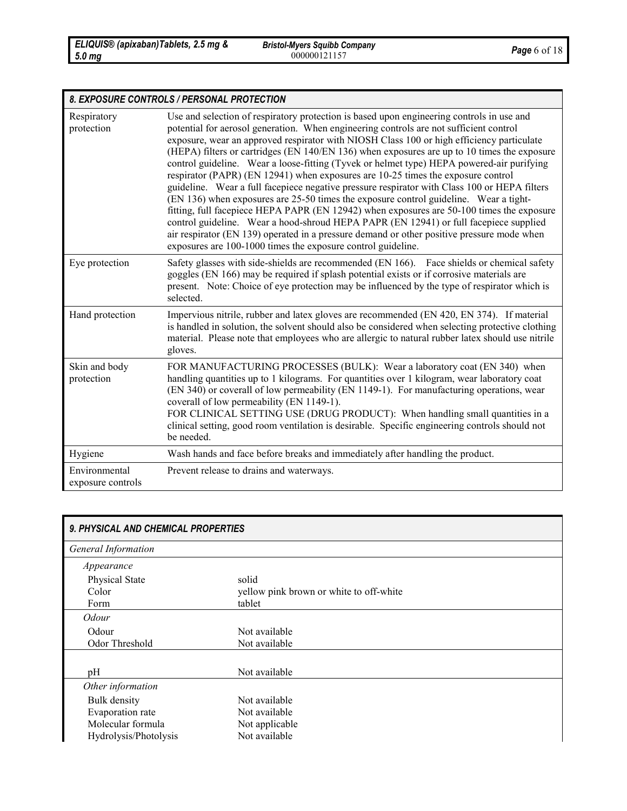| 8. EXPOSURE CONTROLS / PERSONAL PROTECTION |                                                                                                                                                                                                                                                                                                                                                                                                                                                                                                                                                                                                                                                                                                                                                                                                                                                                                                                                                                                                                                                                                                               |  |
|--------------------------------------------|---------------------------------------------------------------------------------------------------------------------------------------------------------------------------------------------------------------------------------------------------------------------------------------------------------------------------------------------------------------------------------------------------------------------------------------------------------------------------------------------------------------------------------------------------------------------------------------------------------------------------------------------------------------------------------------------------------------------------------------------------------------------------------------------------------------------------------------------------------------------------------------------------------------------------------------------------------------------------------------------------------------------------------------------------------------------------------------------------------------|--|
| Respiratory<br>protection                  | Use and selection of respiratory protection is based upon engineering controls in use and<br>potential for aerosol generation. When engineering controls are not sufficient control<br>exposure, wear an approved respirator with NIOSH Class 100 or high efficiency particulate<br>(HEPA) filters or cartridges (EN 140/EN 136) when exposures are up to 10 times the exposure<br>control guideline. Wear a loose-fitting (Tyvek or helmet type) HEPA powered-air purifying<br>respirator (PAPR) (EN 12941) when exposures are 10-25 times the exposure control<br>guideline. Wear a full facepiece negative pressure respirator with Class 100 or HEPA filters<br>(EN 136) when exposures are 25-50 times the exposure control guideline. Wear a tight-<br>fitting, full facepiece HEPA PAPR (EN 12942) when exposures are 50-100 times the exposure<br>control guideline. Wear a hood-shroud HEPA PAPR (EN 12941) or full facepiece supplied<br>air respirator (EN 139) operated in a pressure demand or other positive pressure mode when<br>exposures are 100-1000 times the exposure control guideline. |  |
| Eye protection                             | Safety glasses with side-shields are recommended (EN 166). Face shields or chemical safety<br>goggles (EN 166) may be required if splash potential exists or if corrosive materials are<br>present. Note: Choice of eye protection may be influenced by the type of respirator which is<br>selected.                                                                                                                                                                                                                                                                                                                                                                                                                                                                                                                                                                                                                                                                                                                                                                                                          |  |
| Hand protection                            | Impervious nitrile, rubber and latex gloves are recommended (EN 420, EN 374). If material<br>is handled in solution, the solvent should also be considered when selecting protective clothing<br>material. Please note that employees who are allergic to natural rubber latex should use nitrile<br>gloves.                                                                                                                                                                                                                                                                                                                                                                                                                                                                                                                                                                                                                                                                                                                                                                                                  |  |
| Skin and body<br>protection                | FOR MANUFACTURING PROCESSES (BULK): Wear a laboratory coat (EN 340) when<br>handling quantities up to 1 kilograms. For quantities over 1 kilogram, wear laboratory coat<br>(EN 340) or coverall of low permeability (EN 1149-1). For manufacturing operations, wear<br>coverall of low permeability (EN 1149-1).<br>FOR CLINICAL SETTING USE (DRUG PRODUCT): When handling small quantities in a<br>clinical setting, good room ventilation is desirable. Specific engineering controls should not<br>be needed.                                                                                                                                                                                                                                                                                                                                                                                                                                                                                                                                                                                              |  |
| Hygiene                                    | Wash hands and face before breaks and immediately after handling the product.                                                                                                                                                                                                                                                                                                                                                                                                                                                                                                                                                                                                                                                                                                                                                                                                                                                                                                                                                                                                                                 |  |
| Environmental<br>exposure controls         | Prevent release to drains and waterways.                                                                                                                                                                                                                                                                                                                                                                                                                                                                                                                                                                                                                                                                                                                                                                                                                                                                                                                                                                                                                                                                      |  |

| <b>9. PHYSICAL AND CHEMICAL PROPERTIES</b> |                                         |  |
|--------------------------------------------|-----------------------------------------|--|
| <b>General Information</b>                 |                                         |  |
| Appearance                                 |                                         |  |
| <b>Physical State</b>                      | solid                                   |  |
| Color                                      | yellow pink brown or white to off-white |  |
| Form                                       | tablet                                  |  |
| Odour                                      |                                         |  |
| Odour                                      | Not available                           |  |
| Odor Threshold                             | Not available                           |  |
|                                            |                                         |  |
| pH                                         | Not available                           |  |
| Other information                          |                                         |  |
| Bulk density                               | Not available                           |  |
| Evaporation rate                           | Not available                           |  |
| Molecular formula                          | Not applicable                          |  |
| Hydrolysis/Photolysis                      | Not available                           |  |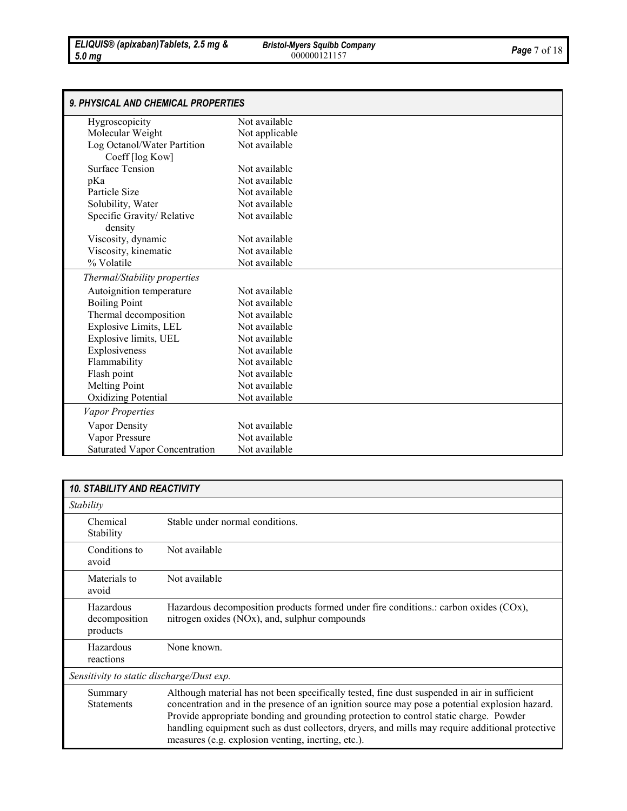| 9. PHYSICAL AND CHEMICAL PROPERTIES            |                |  |
|------------------------------------------------|----------------|--|
| Hygroscopicity                                 | Not available  |  |
| Molecular Weight                               | Not applicable |  |
| Log Octanol/Water Partition<br>Coeff [log Kow] | Not available  |  |
| <b>Surface Tension</b>                         | Not available  |  |
| pKa                                            | Not available  |  |
| Particle Size                                  | Not available  |  |
| Solubility, Water                              | Not available  |  |
| Specific Gravity/Relative<br>density           | Not available  |  |
| Viscosity, dynamic                             | Not available  |  |
| Viscosity, kinematic                           | Not available  |  |
| % Volatile                                     | Not available  |  |
| Thermal/Stability properties                   |                |  |
| Autoignition temperature                       | Not available  |  |
| <b>Boiling Point</b>                           | Not available  |  |
| Thermal decomposition                          | Not available  |  |
| Explosive Limits, LEL                          | Not available  |  |
| Explosive limits, UEL                          | Not available  |  |
| Explosiveness                                  | Not available  |  |
| Flammability                                   | Not available  |  |
| Flash point                                    | Not available  |  |
| <b>Melting Point</b>                           | Not available  |  |
| Oxidizing Potential                            | Not available  |  |
| Vapor Properties                               |                |  |
| Vapor Density                                  | Not available  |  |
| Vapor Pressure                                 | Not available  |  |
| <b>Saturated Vapor Concentration</b>           | Not available  |  |

| <b>10. STABILITY AND REACTIVITY</b> |                                           |                                                                                                                                                                                                                                                                                                                                                                                                                                                  |  |
|-------------------------------------|-------------------------------------------|--------------------------------------------------------------------------------------------------------------------------------------------------------------------------------------------------------------------------------------------------------------------------------------------------------------------------------------------------------------------------------------------------------------------------------------------------|--|
| Stability                           |                                           |                                                                                                                                                                                                                                                                                                                                                                                                                                                  |  |
|                                     | Chemical<br>Stability                     | Stable under normal conditions.                                                                                                                                                                                                                                                                                                                                                                                                                  |  |
|                                     | Conditions to<br>avoid                    | Not available                                                                                                                                                                                                                                                                                                                                                                                                                                    |  |
|                                     | Materials to<br>avoid                     | Not available                                                                                                                                                                                                                                                                                                                                                                                                                                    |  |
|                                     | Hazardous<br>decomposition<br>products    | Hazardous decomposition products formed under fire conditions.: carbon oxides (COx),<br>nitrogen oxides (NOx), and, sulphur compounds                                                                                                                                                                                                                                                                                                            |  |
|                                     | Hazardous<br>reactions                    | None known.                                                                                                                                                                                                                                                                                                                                                                                                                                      |  |
|                                     | Sensitivity to static discharge/Dust exp. |                                                                                                                                                                                                                                                                                                                                                                                                                                                  |  |
|                                     | Summary<br><b>Statements</b>              | Although material has not been specifically tested, fine dust suspended in air in sufficient<br>concentration and in the presence of an ignition source may pose a potential explosion hazard.<br>Provide appropriate bonding and grounding protection to control static charge. Powder<br>handling equipment such as dust collectors, dryers, and mills may require additional protective<br>measures (e.g. explosion venting, inerting, etc.). |  |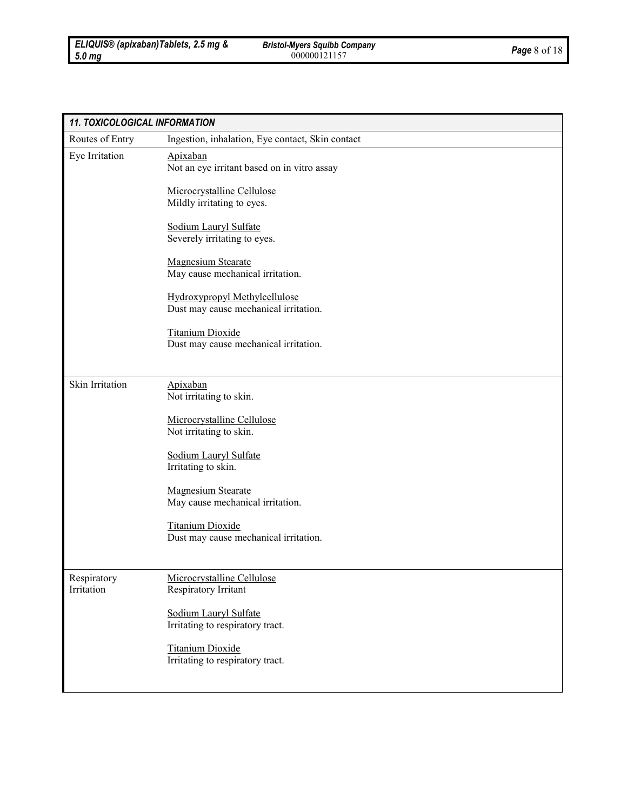| 11. TOXICOLOGICAL INFORMATION |                                                                        |  |
|-------------------------------|------------------------------------------------------------------------|--|
| Routes of Entry               | Ingestion, inhalation, Eye contact, Skin contact                       |  |
| Eye Irritation                | Apixaban<br>Not an eye irritant based on in vitro assay                |  |
|                               | Microcrystalline Cellulose<br>Mildly irritating to eyes.               |  |
|                               | Sodium Lauryl Sulfate<br>Severely irritating to eyes.                  |  |
|                               | <b>Magnesium Stearate</b><br>May cause mechanical irritation.          |  |
|                               | Hydroxypropyl Methylcellulose<br>Dust may cause mechanical irritation. |  |
|                               | <b>Titanium Dioxide</b><br>Dust may cause mechanical irritation.       |  |
|                               |                                                                        |  |
| Skin Irritation               | Apixaban<br>Not irritating to skin.                                    |  |
|                               | Microcrystalline Cellulose<br>Not irritating to skin.                  |  |
|                               | Sodium Lauryl Sulfate<br>Irritating to skin.                           |  |
|                               | <b>Magnesium Stearate</b><br>May cause mechanical irritation.          |  |
|                               | <b>Titanium Dioxide</b><br>Dust may cause mechanical irritation.       |  |
| Respiratory<br>Irritation     | Microcrystalline Cellulose<br>Respiratory Irritant                     |  |
|                               | Sodium Lauryl Sulfate<br>Irritating to respiratory tract.              |  |
|                               | <b>Titanium Dioxide</b><br>Irritating to respiratory tract.            |  |
|                               |                                                                        |  |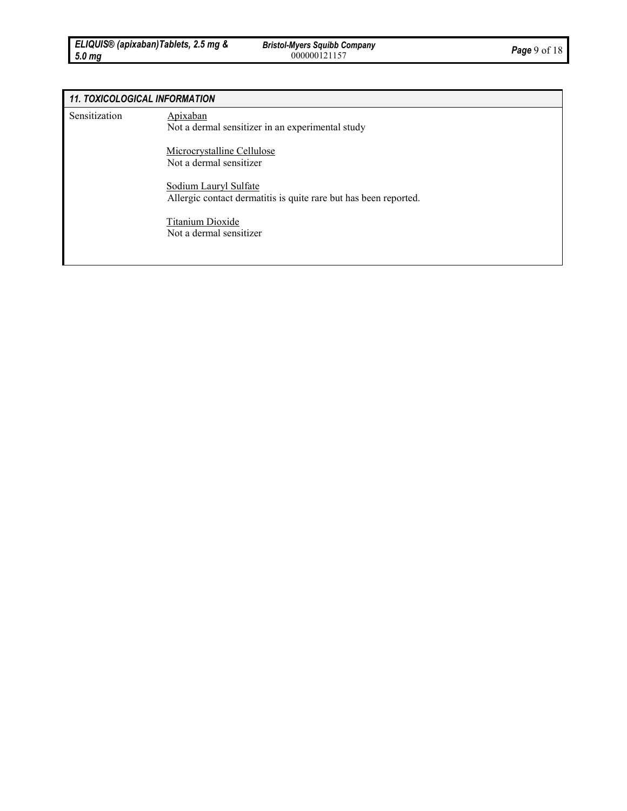*Bristol-Myers Squibb Company* <sup>000000121157</sup> *Page* <sup>9</sup> of <sup>18</sup>

### *11. TOXICOLOGICAL INFORMATION*

| Sensitization | Apixaban<br>Not a dermal sensitizer in an experimental study                              |
|---------------|-------------------------------------------------------------------------------------------|
|               | Microcrystalline Cellulose<br>Not a dermal sensitizer                                     |
|               | Sodium Lauryl Sulfate<br>Allergic contact dermatitis is quite rare but has been reported. |
|               | <b>Titanium Dioxide</b><br>Not a dermal sensitizer                                        |
|               |                                                                                           |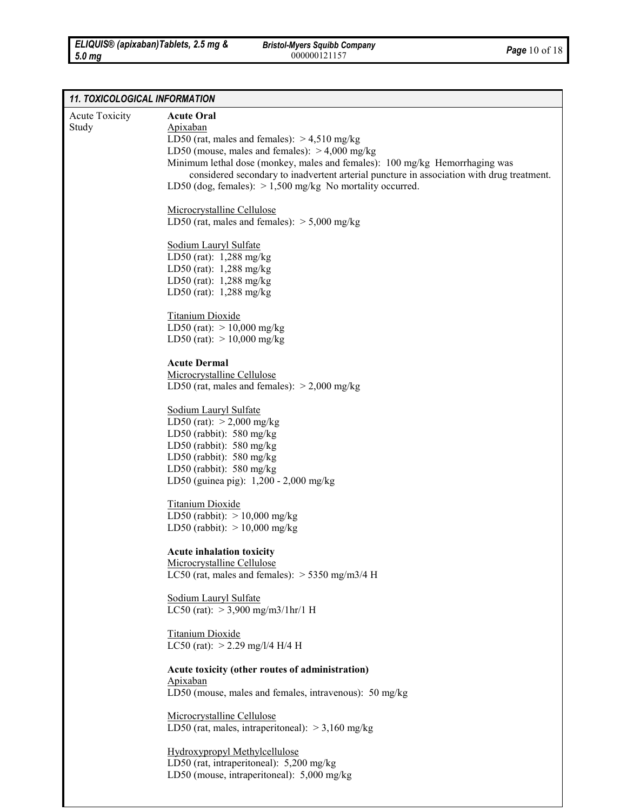*Bristol-Myers Squibb Company* <sup>000000121157</sup> *Page* <sup>10</sup> of <sup>18</sup>

| 11. TOXICOLOGICAL INFORMATION  |                                                                                                                                                                                                                                                                                                                                                                                       |
|--------------------------------|---------------------------------------------------------------------------------------------------------------------------------------------------------------------------------------------------------------------------------------------------------------------------------------------------------------------------------------------------------------------------------------|
| <b>Acute Toxicity</b><br>Study | <b>Acute Oral</b><br><b>Apixaban</b><br>LD50 (rat, males and females): $> 4,510$ mg/kg<br>LD50 (mouse, males and females): $> 4,000$ mg/kg<br>Minimum lethal dose (monkey, males and females): 100 mg/kg Hemorrhaging was<br>considered secondary to inadvertent arterial puncture in association with drug treatment.<br>LD50 (dog, females): $> 1,500$ mg/kg No mortality occurred. |
|                                | Microcrystalline Cellulose<br>LD50 (rat, males and females): $>$ 5,000 mg/kg                                                                                                                                                                                                                                                                                                          |
|                                | Sodium Lauryl Sulfate<br>LD50 (rat): $1,288$ mg/kg<br>LD50 (rat): 1,288 mg/kg<br>LD50 (rat): $1,288$ mg/kg<br>LD50 (rat): $1,288$ mg/kg                                                                                                                                                                                                                                               |
|                                | <b>Titanium Dioxide</b><br>LD50 (rat): $> 10,000$ mg/kg<br>LD50 (rat): $> 10,000$ mg/kg                                                                                                                                                                                                                                                                                               |
|                                | <b>Acute Dermal</b><br>Microcrystalline Cellulose<br>LD50 (rat, males and females): $>$ 2,000 mg/kg                                                                                                                                                                                                                                                                                   |
|                                | Sodium Lauryl Sulfate<br>LD50 (rat): $>$ 2,000 mg/kg<br>LD50 (rabbit): $580$ mg/kg<br>LD50 (rabbit): 580 mg/kg<br>LD50 (rabbit): $580$ mg/kg<br>LD50 (rabbit): 580 mg/kg<br>LD50 (guinea pig): 1,200 - 2,000 mg/kg                                                                                                                                                                    |
|                                | <b>Titanium Dioxide</b><br>LD50 (rabbit): $> 10,000$ mg/kg<br>LD50 (rabbit): $> 10,000$ mg/kg                                                                                                                                                                                                                                                                                         |
|                                | <b>Acute inhalation toxicity</b><br>Microcrystalline Cellulose<br>LC50 (rat, males and females): $>$ 5350 mg/m3/4 H                                                                                                                                                                                                                                                                   |
|                                | Sodium Lauryl Sulfate<br>LC50 (rat): $> 3,900$ mg/m3/1hr/1 H                                                                                                                                                                                                                                                                                                                          |
|                                | <b>Titanium Dioxide</b><br>LC50 (rat): $>$ 2.29 mg/l/4 H/4 H                                                                                                                                                                                                                                                                                                                          |
|                                | Acute toxicity (other routes of administration)<br><b>Apixaban</b><br>LD50 (mouse, males and females, intravenous): 50 mg/kg                                                                                                                                                                                                                                                          |
|                                | Microcrystalline Cellulose<br>LD50 (rat, males, intraperitoneal): $>$ 3,160 mg/kg                                                                                                                                                                                                                                                                                                     |
|                                | Hydroxypropyl Methylcellulose<br>LD50 (rat, intraperitoneal): 5,200 mg/kg<br>LD50 (mouse, intraperitoneal): 5,000 mg/kg                                                                                                                                                                                                                                                               |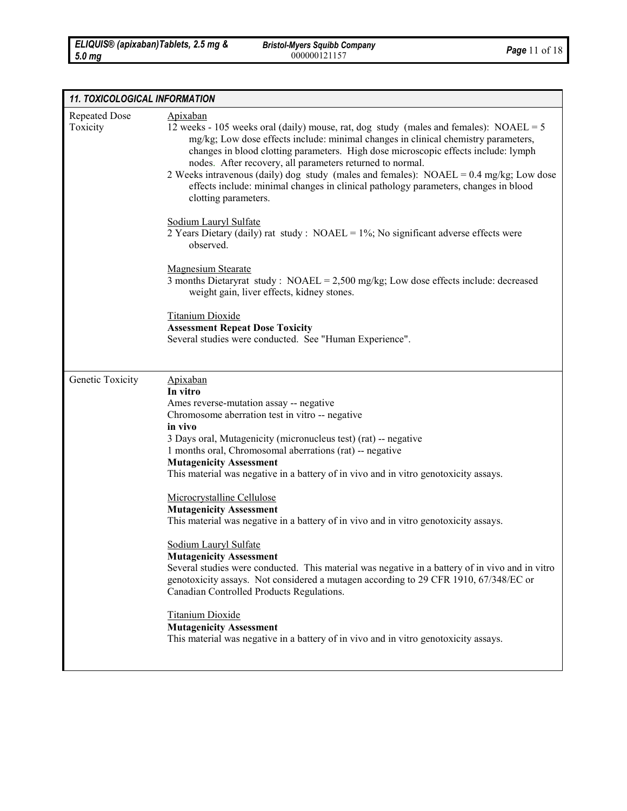| 11. TOXICOLOGICAL INFORMATION    |                                                                                                                                                                                                                                                                                                                                                                                                                                                                                                                                                                                                                                                                                                                                                                                                                                                                                                                                                                                                        |  |
|----------------------------------|--------------------------------------------------------------------------------------------------------------------------------------------------------------------------------------------------------------------------------------------------------------------------------------------------------------------------------------------------------------------------------------------------------------------------------------------------------------------------------------------------------------------------------------------------------------------------------------------------------------------------------------------------------------------------------------------------------------------------------------------------------------------------------------------------------------------------------------------------------------------------------------------------------------------------------------------------------------------------------------------------------|--|
| <b>Repeated Dose</b><br>Toxicity | Apixaban<br>12 weeks - 105 weeks oral (daily) mouse, rat, dog study (males and females): $NOAEL = 5$<br>mg/kg; Low dose effects include: minimal changes in clinical chemistry parameters,<br>changes in blood clotting parameters. High dose microscopic effects include: lymph<br>nodes. After recovery, all parameters returned to normal.<br>2 Weeks intravenous (daily) dog study (males and females): NOAEL = $0.4 \text{ mg/kg}$ ; Low dose<br>effects include: minimal changes in clinical pathology parameters, changes in blood<br>clotting parameters.<br>Sodium Lauryl Sulfate<br>2 Years Dietary (daily) rat study : $NOAEL = 1\%$ ; No significant adverse effects were<br>observed.                                                                                                                                                                                                                                                                                                     |  |
|                                  | Magnesium Stearate<br>3 months Dietaryrat study : NOAEL = 2,500 mg/kg; Low dose effects include: decreased<br>weight gain, liver effects, kidney stones.                                                                                                                                                                                                                                                                                                                                                                                                                                                                                                                                                                                                                                                                                                                                                                                                                                               |  |
|                                  | <b>Titanium Dioxide</b><br><b>Assessment Repeat Dose Toxicity</b><br>Several studies were conducted. See "Human Experience".                                                                                                                                                                                                                                                                                                                                                                                                                                                                                                                                                                                                                                                                                                                                                                                                                                                                           |  |
| Genetic Toxicity                 | Apixaban<br>In vitro<br>Ames reverse-mutation assay -- negative<br>Chromosome aberration test in vitro -- negative<br>in vivo<br>3 Days oral, Mutagenicity (micronucleus test) (rat) -- negative<br>1 months oral, Chromosomal aberrations (rat) -- negative<br><b>Mutagenicity Assessment</b><br>This material was negative in a battery of in vivo and in vitro genotoxicity assays.<br>Microcrystalline Cellulose<br><b>Mutagenicity Assessment</b><br>This material was negative in a battery of in vivo and in vitro genotoxicity assays.<br>Sodium Lauryl Sulfate<br><b>Mutagenicity Assessment</b><br>Several studies were conducted. This material was negative in a battery of in vivo and in vitro<br>genotoxicity assays. Not considered a mutagen according to 29 CFR 1910, 67/348/EC or<br>Canadian Controlled Products Regulations.<br><b>Titanium Dioxide</b><br><b>Mutagenicity Assessment</b><br>This material was negative in a battery of in vivo and in vitro genotoxicity assays. |  |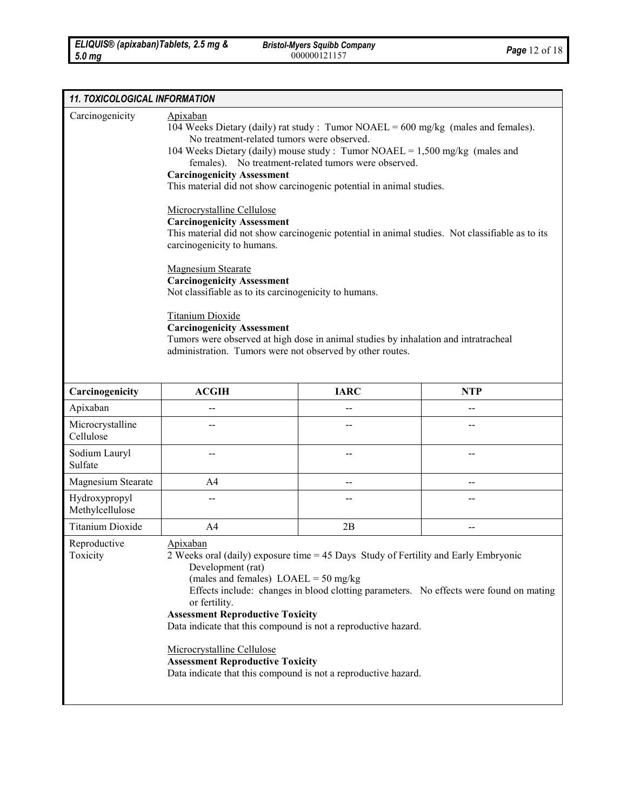*Bristol-Myers Squibb Company* <sup>000000121157</sup> *Page* <sup>12</sup> of <sup>18</sup>

| <b>11. TOXICOLOGICAL INFORMATION</b> |                                                                                                                                                                                                                                                                                                                                                                                                                                                                                                                                                                                                                                                                                                                                                                                                                                                                                                                                                               |             |            |
|--------------------------------------|---------------------------------------------------------------------------------------------------------------------------------------------------------------------------------------------------------------------------------------------------------------------------------------------------------------------------------------------------------------------------------------------------------------------------------------------------------------------------------------------------------------------------------------------------------------------------------------------------------------------------------------------------------------------------------------------------------------------------------------------------------------------------------------------------------------------------------------------------------------------------------------------------------------------------------------------------------------|-------------|------------|
| Carcinogenicity                      | <u>Apixaban</u><br>104 Weeks Dietary (daily) rat study : Tumor NOAEL = 600 mg/kg (males and females).<br>No treatment-related tumors were observed.<br>104 Weeks Dietary (daily) mouse study : Tumor NOAEL = $1,500$ mg/kg (males and<br>females). No treatment-related tumors were observed.<br><b>Carcinogenicity Assessment</b><br>This material did not show carcinogenic potential in animal studies.<br>Microcrystalline Cellulose<br><b>Carcinogenicity Assessment</b><br>This material did not show carcinogenic potential in animal studies. Not classifiable as to its<br>carcinogenicity to humans.<br><b>Magnesium Stearate</b><br><b>Carcinogenicity Assessment</b><br>Not classifiable as to its carcinogenicity to humans.<br><b>Titanium Dioxide</b><br><b>Carcinogenicity Assessment</b><br>Tumors were observed at high dose in animal studies by inhalation and intratracheal<br>administration. Tumors were not observed by other routes. |             |            |
| Carcinogenicity                      | <b>ACGIH</b>                                                                                                                                                                                                                                                                                                                                                                                                                                                                                                                                                                                                                                                                                                                                                                                                                                                                                                                                                  | <b>IARC</b> | <b>NTP</b> |
| Apixaban                             |                                                                                                                                                                                                                                                                                                                                                                                                                                                                                                                                                                                                                                                                                                                                                                                                                                                                                                                                                               |             |            |
| Microcrystalline<br>Cellulose        |                                                                                                                                                                                                                                                                                                                                                                                                                                                                                                                                                                                                                                                                                                                                                                                                                                                                                                                                                               |             |            |
| Sodium Lauryl<br>Sulfate             |                                                                                                                                                                                                                                                                                                                                                                                                                                                                                                                                                                                                                                                                                                                                                                                                                                                                                                                                                               | --          |            |
| Magnesium Stearate                   | A4                                                                                                                                                                                                                                                                                                                                                                                                                                                                                                                                                                                                                                                                                                                                                                                                                                                                                                                                                            |             |            |
| Hydroxypropyl<br>Methylcellulose     | --                                                                                                                                                                                                                                                                                                                                                                                                                                                                                                                                                                                                                                                                                                                                                                                                                                                                                                                                                            |             |            |
| <b>Titanium Dioxide</b>              | A4                                                                                                                                                                                                                                                                                                                                                                                                                                                                                                                                                                                                                                                                                                                                                                                                                                                                                                                                                            | 2B          |            |
| Reproductive<br>Toxicity             | Apixaban<br>2 Weeks oral (daily) exposure time = 45 Days Study of Fertility and Early Embryonic<br>Development (rat)<br>(males and females) $LOAEL = 50$ mg/kg<br>Effects include: changes in blood clotting parameters. No effects were found on mating<br>or fertility.<br><b>Assessment Reproductive Toxicity</b><br>Data indicate that this compound is not a reproductive hazard.<br>Microcrystalline Cellulose<br><b>Assessment Reproductive Toxicity</b><br>Data indicate that this compound is not a reproductive hazard.                                                                                                                                                                                                                                                                                                                                                                                                                             |             |            |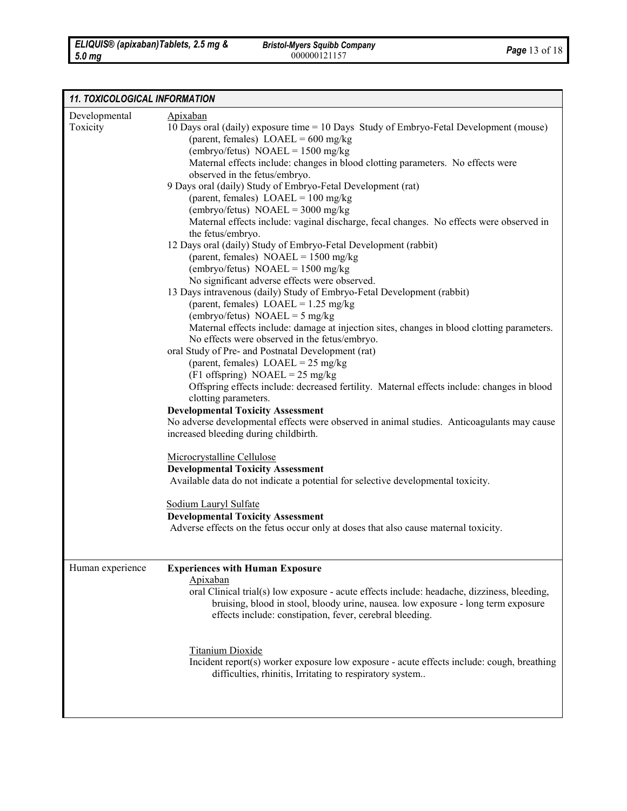| 11. TOXICOLOGICAL INFORMATION |                                                                                                                                                                                                                                                                                                                                                                                                                                                                                                                                                                                                                                                                                                                                                                                                                                                                                                                                                                                                                                                                                                                                                                                                                                                                                                                                                                                                                                                                                                                                                                                                                                                                                                                                                                                                                                                                        |  |
|-------------------------------|------------------------------------------------------------------------------------------------------------------------------------------------------------------------------------------------------------------------------------------------------------------------------------------------------------------------------------------------------------------------------------------------------------------------------------------------------------------------------------------------------------------------------------------------------------------------------------------------------------------------------------------------------------------------------------------------------------------------------------------------------------------------------------------------------------------------------------------------------------------------------------------------------------------------------------------------------------------------------------------------------------------------------------------------------------------------------------------------------------------------------------------------------------------------------------------------------------------------------------------------------------------------------------------------------------------------------------------------------------------------------------------------------------------------------------------------------------------------------------------------------------------------------------------------------------------------------------------------------------------------------------------------------------------------------------------------------------------------------------------------------------------------------------------------------------------------------------------------------------------------|--|
| Developmental<br>Toxicity     | <u>Apixaban</u><br>10 Days oral (daily) exposure time = 10 Days Study of Embryo-Fetal Development (mouse)<br>(parent, females) $LOAEL = 600$ mg/kg<br>(embryo/fetus) NOAEL = $1500$ mg/kg<br>Maternal effects include: changes in blood clotting parameters. No effects were<br>observed in the fetus/embryo.<br>9 Days oral (daily) Study of Embryo-Fetal Development (rat)<br>(parent, females) $LOAEL = 100$ mg/kg<br>(embryo/fetus) NOAEL = $3000 \text{ mg/kg}$<br>Maternal effects include: vaginal discharge, fecal changes. No effects were observed in<br>the fetus/embryo.<br>12 Days oral (daily) Study of Embryo-Fetal Development (rabbit)<br>(parent, females) NOAEL = $1500$ mg/kg<br>(embryo/fetus) NOAEL = $1500$ mg/kg<br>No significant adverse effects were observed.<br>13 Days intravenous (daily) Study of Embryo-Fetal Development (rabbit)<br>(parent, females) $LOAEL = 1.25$ mg/kg<br>(embryo/fetus) $NOAEL = 5$ mg/kg<br>Maternal effects include: damage at injection sites, changes in blood clotting parameters.<br>No effects were observed in the fetus/embryo.<br>oral Study of Pre- and Postnatal Development (rat)<br>(parent, females) $LOAEL = 25$ mg/kg<br>$(F1$ offspring) NOAEL = 25 mg/kg<br>Offspring effects include: decreased fertility. Maternal effects include: changes in blood<br>clotting parameters.<br><b>Developmental Toxicity Assessment</b><br>No adverse developmental effects were observed in animal studies. Anticoagulants may cause<br>increased bleeding during childbirth.<br>Microcrystalline Cellulose<br><b>Developmental Toxicity Assessment</b><br>Available data do not indicate a potential for selective developmental toxicity.<br>Sodium Lauryl Sulfate<br><b>Developmental Toxicity Assessment</b><br>Adverse effects on the fetus occur only at doses that also cause maternal toxicity. |  |
| Human experience              | <b>Experiences with Human Exposure</b><br>Apixaban<br>oral Clinical trial(s) low exposure - acute effects include: headache, dizziness, bleeding,<br>bruising, blood in stool, bloody urine, nausea. low exposure - long term exposure<br>effects include: constipation, fever, cerebral bleeding.<br><b>Titanium Dioxide</b><br>Incident report(s) worker exposure low exposure - acute effects include: cough, breathing<br>difficulties, rhinitis, Irritating to respiratory system                                                                                                                                                                                                                                                                                                                                                                                                                                                                                                                                                                                                                                                                                                                                                                                                                                                                                                                                                                                                                                                                                                                                                                                                                                                                                                                                                                                 |  |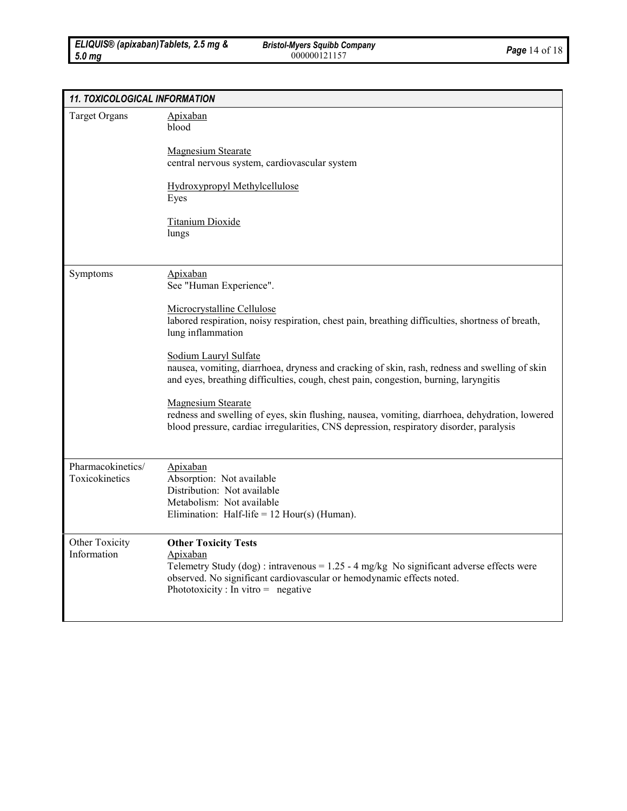| <b>11. TOXICOLOGICAL INFORMATION</b> |                                                                                                                                                                                                                                                      |  |
|--------------------------------------|------------------------------------------------------------------------------------------------------------------------------------------------------------------------------------------------------------------------------------------------------|--|
| <b>Target Organs</b>                 | Apixaban<br>blood                                                                                                                                                                                                                                    |  |
|                                      | <b>Magnesium Stearate</b><br>central nervous system, cardiovascular system                                                                                                                                                                           |  |
|                                      | Hydroxypropyl Methylcellulose<br>Eyes                                                                                                                                                                                                                |  |
|                                      | <b>Titanium Dioxide</b><br>lungs                                                                                                                                                                                                                     |  |
| Symptoms                             | Apixaban<br>See "Human Experience".                                                                                                                                                                                                                  |  |
|                                      | Microcrystalline Cellulose<br>labored respiration, noisy respiration, chest pain, breathing difficulties, shortness of breath,<br>lung inflammation                                                                                                  |  |
|                                      | Sodium Lauryl Sulfate<br>nausea, vomiting, diarrhoea, dryness and cracking of skin, rash, redness and swelling of skin<br>and eyes, breathing difficulties, cough, chest pain, congestion, burning, laryngitis                                       |  |
|                                      | <b>Magnesium Stearate</b><br>redness and swelling of eyes, skin flushing, nausea, vomiting, diarrhoea, dehydration, lowered<br>blood pressure, cardiac irregularities, CNS depression, respiratory disorder, paralysis                               |  |
| Pharmacokinetics/<br>Toxicokinetics  | Apixaban<br>Absorption: Not available<br>Distribution: Not available<br>Metabolism: Not available<br>Elimination: Half-life = $12$ Hour(s) (Human).                                                                                                  |  |
| Other Toxicity<br>Information        | <b>Other Toxicity Tests</b><br>Apixaban<br>Telemetry Study (dog) : intravenous = $1.25 - 4$ mg/kg No significant adverse effects were<br>observed. No significant cardiovascular or hemodynamic effects noted.<br>Phototoxicity: In vitro = negative |  |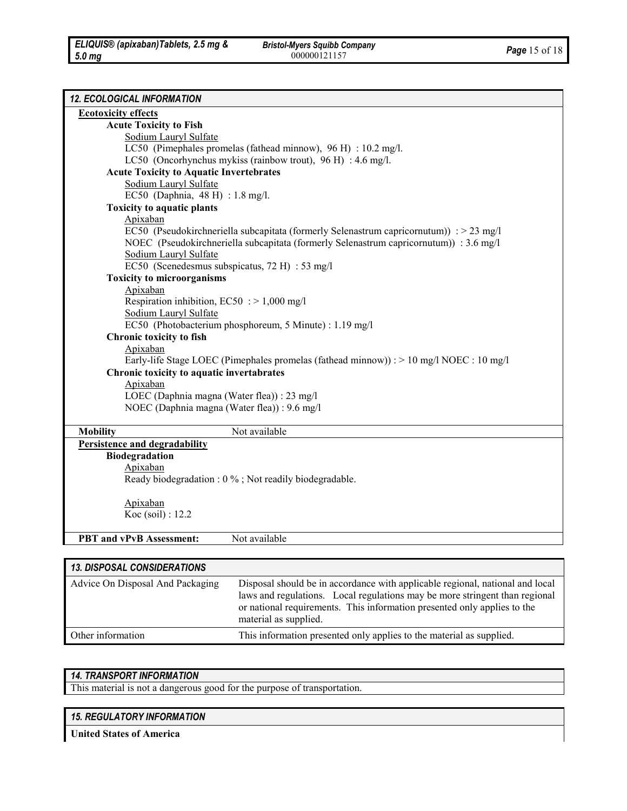*Bristol-Myers Squibb Company*

| <b>12. ECOLOGICAL INFORMATION</b>                              |                                                                                         |  |
|----------------------------------------------------------------|-----------------------------------------------------------------------------------------|--|
| <b>Ecotoxicity effects</b>                                     |                                                                                         |  |
| <b>Acute Toxicity to Fish</b>                                  |                                                                                         |  |
| Sodium Lauryl Sulfate                                          |                                                                                         |  |
| LC50 (Pimephales promelas (fathead minnow), 96 H) : 10.2 mg/l. |                                                                                         |  |
| LC50 (Oncorhynchus mykiss (rainbow trout), 96 H) : 4.6 mg/l.   |                                                                                         |  |
| <b>Acute Toxicity to Aquatic Invertebrates</b>                 |                                                                                         |  |
| Sodium Lauryl Sulfate                                          |                                                                                         |  |
| EC50 (Daphnia, 48 H) : 1.8 mg/l.                               |                                                                                         |  |
| <b>Toxicity to aquatic plants</b>                              |                                                                                         |  |
| Apixaban                                                       |                                                                                         |  |
|                                                                | EC50 (Pseudokirchneriella subcapitata (formerly Selenastrum capricornutum)) : > 23 mg/l |  |
|                                                                | NOEC (Pseudokirchneriella subcapitata (formerly Selenastrum capricornutum)) : 3.6 mg/l  |  |
| Sodium Lauryl Sulfate                                          |                                                                                         |  |
|                                                                | EC50 (Scenedesmus subspicatus, 72 H) : 53 mg/l                                          |  |
| <b>Toxicity to microorganisms</b>                              |                                                                                         |  |
| Apixaban                                                       |                                                                                         |  |
| Respiration inhibition, EC50 : > 1,000 mg/l                    |                                                                                         |  |
| Sodium Lauryl Sulfate                                          |                                                                                         |  |
|                                                                | EC50 (Photobacterium phosphoreum, 5 Minute) : 1.19 mg/l                                 |  |
| Chronic toxicity to fish                                       |                                                                                         |  |
| Apixaban                                                       |                                                                                         |  |
|                                                                | Early-life Stage LOEC (Pimephales promelas (fathead minnow)) : > 10 mg/l NOEC : 10 mg/l |  |
| Chronic toxicity to aquatic invertabrates                      |                                                                                         |  |
| Apixaban                                                       |                                                                                         |  |
| LOEC (Daphnia magna (Water flea)) : 23 mg/l                    |                                                                                         |  |
| NOEC (Daphnia magna (Water flea)) : 9.6 mg/l                   |                                                                                         |  |
|                                                                |                                                                                         |  |
| <b>Mobility</b>                                                | Not available                                                                           |  |
| Persistence and degradability                                  |                                                                                         |  |
| <b>Biodegradation</b>                                          |                                                                                         |  |
| Apixaban                                                       |                                                                                         |  |
|                                                                | Ready biodegradation : 0 %; Not readily biodegradable.                                  |  |
|                                                                |                                                                                         |  |
| Apixaban                                                       |                                                                                         |  |
| Koc (soil) : 12.2                                              |                                                                                         |  |
|                                                                |                                                                                         |  |
| <b>PBT</b> and vPvB Assessment:                                | Not available                                                                           |  |
|                                                                |                                                                                         |  |
| <b>13. DISPOSAL CONSIDERATIONS</b>                             |                                                                                         |  |
| Advice On Disposal And Packaging                               | Disposal should be in accordance with applicable regional, national and local           |  |
|                                                                | laws and regulations. Local regulations may be more stringent than regional             |  |
|                                                                | or national requirements. This information presented only applies to the                |  |
|                                                                | material as supplied.                                                                   |  |
| Other information                                              | This information presented only applies to the material as supplied.                    |  |

#### *14. TRANSPORT INFORMATION*

This material is not a dangerous good for the purpose of transportation.

#### *15. REGULATORY INFORMATION*

**United States of America**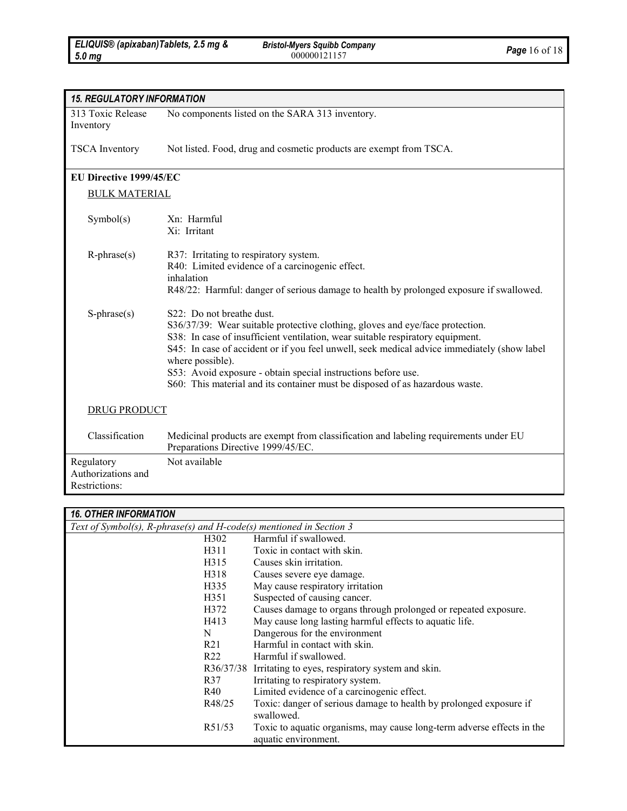*Bristol-Myers Squibb Company* <sup>000000121157</sup> *Page* <sup>16</sup> of <sup>18</sup>

| <b>15. REGULATORY INFORMATION</b>                 |                                                                                                                                                                                                                                                                                                                                                                                                                                                                  |  |  |  |  |  |
|---------------------------------------------------|------------------------------------------------------------------------------------------------------------------------------------------------------------------------------------------------------------------------------------------------------------------------------------------------------------------------------------------------------------------------------------------------------------------------------------------------------------------|--|--|--|--|--|
| 313 Toxic Release<br>Inventory                    | No components listed on the SARA 313 inventory.                                                                                                                                                                                                                                                                                                                                                                                                                  |  |  |  |  |  |
| <b>TSCA</b> Inventory                             | Not listed. Food, drug and cosmetic products are exempt from TSCA.                                                                                                                                                                                                                                                                                                                                                                                               |  |  |  |  |  |
| <b>EU Directive 1999/45/EC</b>                    |                                                                                                                                                                                                                                                                                                                                                                                                                                                                  |  |  |  |  |  |
|                                                   | <b>BULK MATERIAL</b>                                                                                                                                                                                                                                                                                                                                                                                                                                             |  |  |  |  |  |
| Symbol(s)                                         | Xn: Harmful<br>Xi: Irritant                                                                                                                                                                                                                                                                                                                                                                                                                                      |  |  |  |  |  |
| $R$ -phrase $(s)$                                 | R37: Irritating to respiratory system.<br>R40: Limited evidence of a carcinogenic effect.<br>inhalation<br>R48/22: Harmful: danger of serious damage to health by prolonged exposure if swallowed.                                                                                                                                                                                                                                                               |  |  |  |  |  |
| $S$ -phrase $(s)$                                 | S22: Do not breathe dust.<br>S36/37/39: Wear suitable protective clothing, gloves and eye/face protection.<br>S38: In case of insufficient ventilation, wear suitable respiratory equipment.<br>S45: In case of accident or if you feel unwell, seek medical advice immediately (show label<br>where possible).<br>S53: Avoid exposure - obtain special instructions before use.<br>S60: This material and its container must be disposed of as hazardous waste. |  |  |  |  |  |
| DRUG PRODUCT                                      |                                                                                                                                                                                                                                                                                                                                                                                                                                                                  |  |  |  |  |  |
| Classification                                    | Medicinal products are exempt from classification and labeling requirements under EU<br>Preparations Directive 1999/45/EC.                                                                                                                                                                                                                                                                                                                                       |  |  |  |  |  |
| Regulatory<br>Authorizations and<br>Restrictions: | Not available                                                                                                                                                                                                                                                                                                                                                                                                                                                    |  |  |  |  |  |

| <b>16. OTHER INFORMATION</b>                                        |                                                                                                |  |  |  |  |  |
|---------------------------------------------------------------------|------------------------------------------------------------------------------------------------|--|--|--|--|--|
| Text of Symbol(s), R-phrase(s) and H-code(s) mentioned in Section 3 |                                                                                                |  |  |  |  |  |
| H <sub>3</sub> 02<br>Harmful if swallowed.                          |                                                                                                |  |  |  |  |  |
| H311                                                                | Toxic in contact with skin.                                                                    |  |  |  |  |  |
| H315                                                                | Causes skin irritation.                                                                        |  |  |  |  |  |
| H318                                                                | Causes severe eye damage.                                                                      |  |  |  |  |  |
| H335                                                                | May cause respiratory irritation                                                               |  |  |  |  |  |
| H351                                                                | Suspected of causing cancer.                                                                   |  |  |  |  |  |
| H372                                                                | Causes damage to organs through prolonged or repeated exposure.                                |  |  |  |  |  |
| H413                                                                | May cause long lasting harmful effects to aquatic life.                                        |  |  |  |  |  |
| N                                                                   | Dangerous for the environment                                                                  |  |  |  |  |  |
| R21                                                                 | Harmful in contact with skin.                                                                  |  |  |  |  |  |
| R <sub>22</sub>                                                     | Harmful if swallowed.                                                                          |  |  |  |  |  |
|                                                                     | R36/37/38 Irritating to eyes, respiratory system and skin.                                     |  |  |  |  |  |
| R37                                                                 | Irritating to respiratory system.                                                              |  |  |  |  |  |
| R40                                                                 | Limited evidence of a carcinogenic effect.                                                     |  |  |  |  |  |
| R48/25                                                              | Toxic: danger of serious damage to health by prolonged exposure if<br>swallowed.               |  |  |  |  |  |
| R51/53                                                              | Toxic to aquatic organisms, may cause long-term adverse effects in the<br>aquatic environment. |  |  |  |  |  |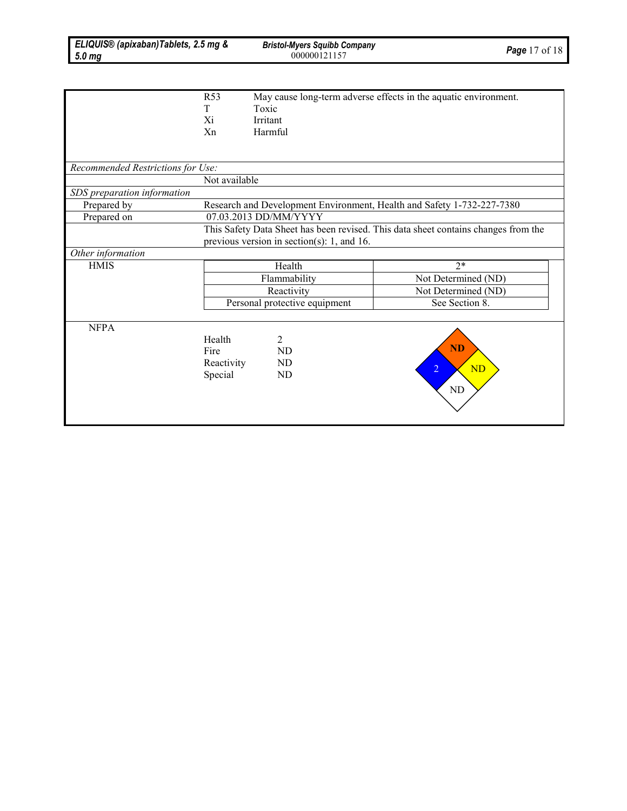|                                   | R53                                                                                | May cause long-term adverse effects in the aquatic environment. |                        |  |  |  |
|-----------------------------------|------------------------------------------------------------------------------------|-----------------------------------------------------------------|------------------------|--|--|--|
|                                   | T                                                                                  | Toxic                                                           |                        |  |  |  |
|                                   | Xi                                                                                 | <b>Irritant</b>                                                 |                        |  |  |  |
|                                   | X <sub>n</sub>                                                                     | Harmful                                                         |                        |  |  |  |
|                                   |                                                                                    |                                                                 |                        |  |  |  |
|                                   |                                                                                    |                                                                 |                        |  |  |  |
| Recommended Restrictions for Use: |                                                                                    |                                                                 |                        |  |  |  |
|                                   | Not available                                                                      |                                                                 |                        |  |  |  |
| SDS preparation information       |                                                                                    |                                                                 |                        |  |  |  |
| Prepared by                       | Research and Development Environment, Health and Safety 1-732-227-7380             |                                                                 |                        |  |  |  |
| Prepared on                       | 07.03.2013 DD/MM/YYYY                                                              |                                                                 |                        |  |  |  |
|                                   | This Safety Data Sheet has been revised. This data sheet contains changes from the |                                                                 |                        |  |  |  |
|                                   | previous version in section(s): 1, and 16.                                         |                                                                 |                        |  |  |  |
| Other information                 |                                                                                    |                                                                 |                        |  |  |  |
| <b>HMIS</b>                       | Health                                                                             |                                                                 | $2*$                   |  |  |  |
|                                   |                                                                                    | Flammability                                                    | Not Determined (ND)    |  |  |  |
|                                   | Reactivity                                                                         |                                                                 | Not Determined (ND)    |  |  |  |
|                                   | Personal protective equipment                                                      |                                                                 | See Section 8.         |  |  |  |
|                                   |                                                                                    |                                                                 |                        |  |  |  |
| <b>NFPA</b>                       |                                                                                    |                                                                 |                        |  |  |  |
|                                   | Health                                                                             | 2                                                               |                        |  |  |  |
|                                   | Fire                                                                               | ND                                                              | $\overline{\bf ND}$    |  |  |  |
|                                   | Reactivity                                                                         | ND                                                              | $\overline{\text{ND}}$ |  |  |  |
|                                   | Special                                                                            | <b>ND</b>                                                       | $\overline{2}$         |  |  |  |
|                                   |                                                                                    |                                                                 | $\rm ND$               |  |  |  |
|                                   |                                                                                    |                                                                 |                        |  |  |  |
|                                   |                                                                                    |                                                                 |                        |  |  |  |
|                                   |                                                                                    |                                                                 |                        |  |  |  |